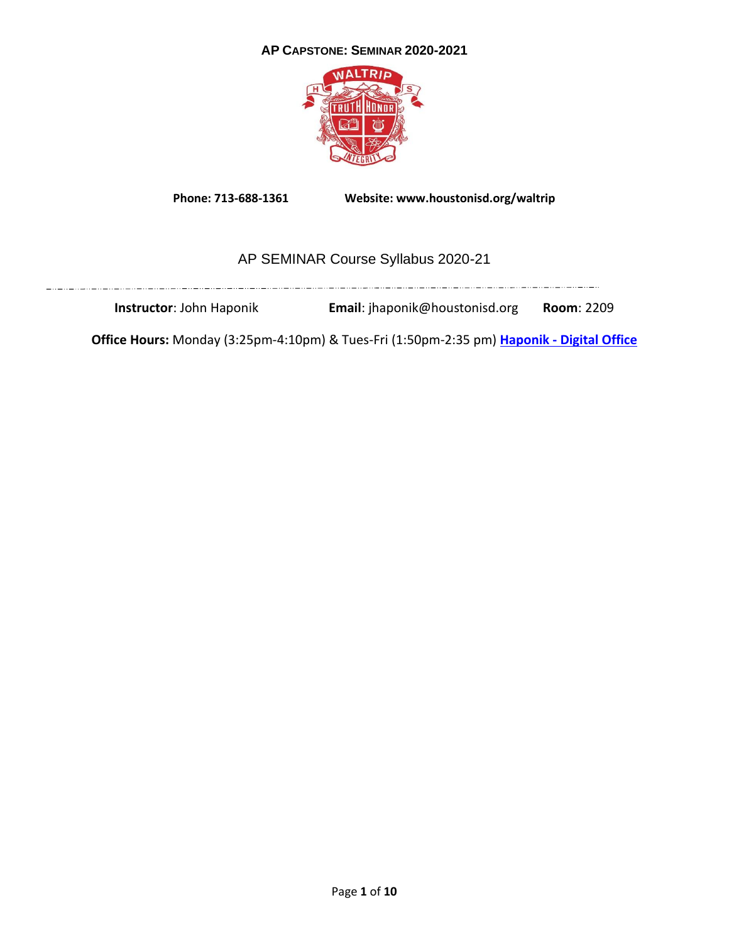# **AP CAPSTONE: SEMINAR 2020-2021**



**Phone: 713-688-1361 Website: www.houstonisd.org/waltrip**

# AP SEMINAR Course Syllabus 2020-21

**Instructor**: John Haponik **Email**: jhaponik@houstonisd.org **Room**: 2209

**Office Hours:** Monday (3:25pm-4:10pm) & Tues-Fri (1:50pm-2:35 pm) **Haponik - [Digital Office](https://teams.microsoft.com/l/channel/19%3a7f6e6332137048adac4f6ec5eda18a5e%40thread.tacv2/General?groupId=05e1425c-f49e-4243-a491-a07bded57e39&tenantId=f5eb9966-9336-4b33-8895-9982425b13ed)**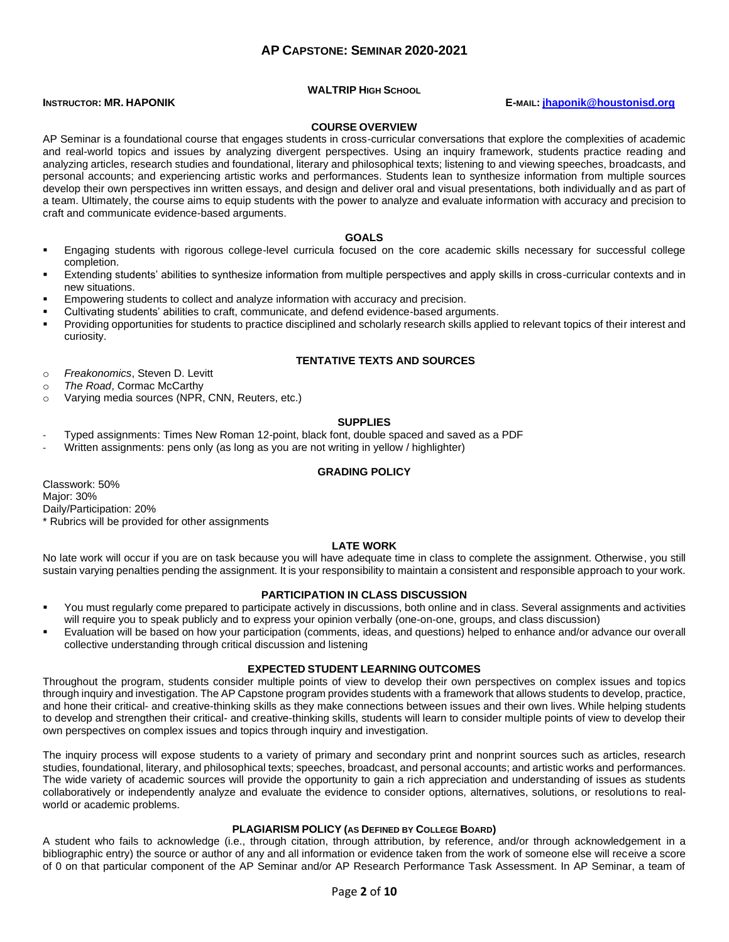# **AP CAPSTONE: SEMINAR 2020-2021**

#### **WALTRIP HIGH SCHOOL**

#### **INSTRUCTOR: MR. HAPONIK E-MAIL: [jhaponik@houstonisd.org](mailto:jhaponik@houstonisd.org)**

#### **COURSE OVERVIEW**

AP Seminar is a foundational course that engages students in cross-curricular conversations that explore the complexities of academic and real-world topics and issues by analyzing divergent perspectives. Using an inquiry framework, students practice reading and analyzing articles, research studies and foundational, literary and philosophical texts; listening to and viewing speeches, broadcasts, and personal accounts; and experiencing artistic works and performances. Students lean to synthesize information from multiple sources develop their own perspectives inn written essays, and design and deliver oral and visual presentations, both individually and as part of a team. Ultimately, the course aims to equip students with the power to analyze and evaluate information with accuracy and precision to craft and communicate evidence-based arguments.

#### **GOALS**

- Engaging students with rigorous college-level curricula focused on the core academic skills necessary for successful college completion.
- Extending students' abilities to synthesize information from multiple perspectives and apply skills in cross-curricular contexts and in new situations.
- Empowering students to collect and analyze information with accuracy and precision.
- Cultivating students' abilities to craft, communicate, and defend evidence-based arguments.
- Providing opportunities for students to practice disciplined and scholarly research skills applied to relevant topics of their interest and curiosity.

#### **TENTATIVE TEXTS AND SOURCES**

o *Freakonomics*, Steven D. Levitt

- o *The Road*, Cormac McCarthy
- o Varying media sources (NPR, CNN, Reuters, etc.)

#### **SUPPLIES**

- Typed assignments: Times New Roman 12-point, black font, double spaced and saved as a PDF
- Written assignments: pens only (as long as you are not writing in yellow / highlighter)

#### **GRADING POLICY**

Classwork: 50% Major: 30% Daily/Participation: 20% \* Rubrics will be provided for other assignments

#### **LATE WORK**

No late work will occur if you are on task because you will have adequate time in class to complete the assignment. Otherwise, you still sustain varying penalties pending the assignment. It is your responsibility to maintain a consistent and responsible approach to your work.

#### **PARTICIPATION IN CLASS DISCUSSION**

- You must regularly come prepared to participate actively in discussions, both online and in class. Several assignments and activities will require you to speak publicly and to express your opinion verbally (one-on-one, groups, and class discussion)
- Evaluation will be based on how your participation (comments, ideas, and questions) helped to enhance and/or advance our overall collective understanding through critical discussion and listening

#### **EXPECTED STUDENT LEARNING OUTCOMES**

Throughout the program, students consider multiple points of view to develop their own perspectives on complex issues and topics through inquiry and investigation. The AP Capstone program provides students with a framework that allows students to develop, practice, and hone their critical- and creative-thinking skills as they make connections between issues and their own lives. While helping students to develop and strengthen their critical- and creative-thinking skills, students will learn to consider multiple points of view to develop their own perspectives on complex issues and topics through inquiry and investigation.

The inquiry process will expose students to a variety of primary and secondary print and nonprint sources such as articles, research studies, foundational, literary, and philosophical texts; speeches, broadcast, and personal accounts; and artistic works and performances. The wide variety of academic sources will provide the opportunity to gain a rich appreciation and understanding of issues as students collaboratively or independently analyze and evaluate the evidence to consider options, alternatives, solutions, or resolutions to realworld or academic problems.

#### **PLAGIARISM POLICY (AS DEFINED BY COLLEGE BOARD)**

A student who fails to acknowledge (i.e., through citation, through attribution, by reference, and/or through acknowledgement in a bibliographic entry) the source or author of any and all information or evidence taken from the work of someone else will receive a score of 0 on that particular component of the AP Seminar and/or AP Research Performance Task Assessment. In AP Seminar, a team of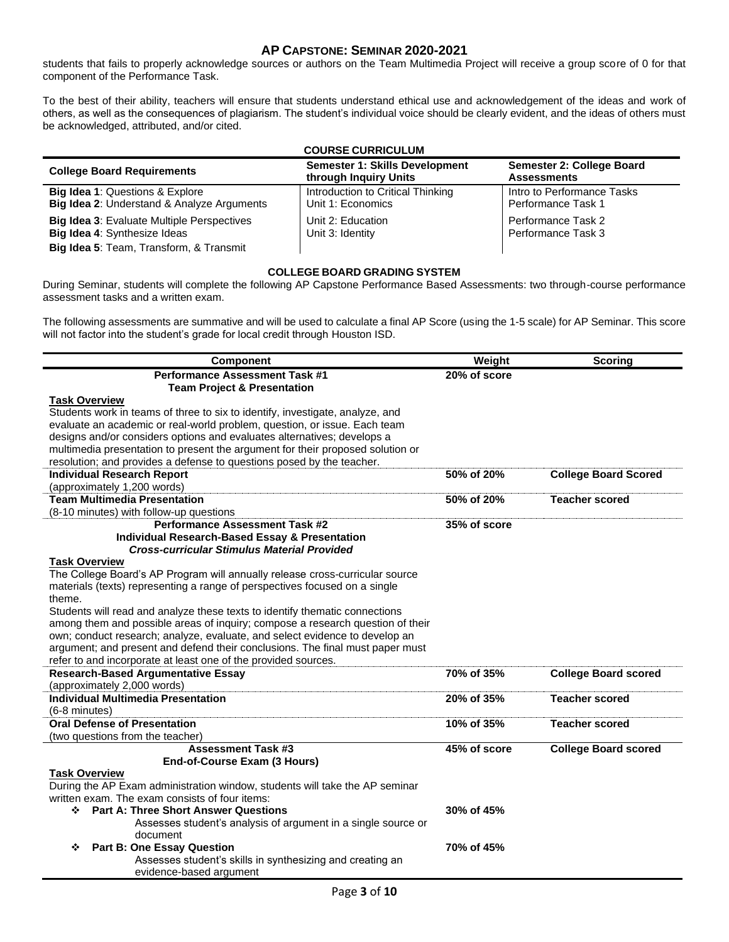# **AP CAPSTONE: SEMINAR 2020-2021**

students that fails to properly acknowledge sources or authors on the Team Multimedia Project will receive a group score of 0 for that component of the Performance Task.

To the best of their ability, teachers will ensure that students understand ethical use and acknowledgement of the ideas and work of others, as well as the consequences of plagiarism. The student's individual voice should be clearly evident, and the ideas of others must be acknowledged, attributed, and/or cited.

|                                                                                                                                     | <b>COURSE CURRICULUM</b>                                |                                                  |  |
|-------------------------------------------------------------------------------------------------------------------------------------|---------------------------------------------------------|--------------------------------------------------|--|
| <b>College Board Requirements</b>                                                                                                   | Semester 1: Skills Development<br>through Inquiry Units | Semester 2: College Board<br><b>Assessments</b>  |  |
| <b>Big Idea 1: Questions &amp; Explore</b><br>Big Idea 2: Understand & Analyze Arguments                                            | Introduction to Critical Thinking<br>Unit 1: Economics  | Intro to Performance Tasks<br>Performance Task 1 |  |
| <b>Big Idea 3: Evaluate Multiple Perspectives</b><br><b>Big Idea 4: Synthesize Ideas</b><br>Big Idea 5: Team, Transform, & Transmit | Unit 2: Education<br>Unit 3: Identity                   | Performance Task 2<br>Performance Task 3         |  |

#### **COLLEGE BOARD GRADING SYSTEM**

During Seminar, students will complete the following AP Capstone Performance Based Assessments: two through-course performance assessment tasks and a written exam.

The following assessments are summative and will be used to calculate a final AP Score (using the 1-5 scale) for AP Seminar. This score will not factor into the student's grade for local credit through Houston ISD.

| <b>Component</b>                                                                                                                                              | Weight         | <b>Scoring</b>              |
|---------------------------------------------------------------------------------------------------------------------------------------------------------------|----------------|-----------------------------|
| <b>Performance Assessment Task #1</b>                                                                                                                         | $20%$ of score |                             |
| <b>Team Project &amp; Presentation</b>                                                                                                                        |                |                             |
| <b>Task Overview</b>                                                                                                                                          |                |                             |
| Students work in teams of three to six to identify, investigate, analyze, and                                                                                 |                |                             |
| evaluate an academic or real-world problem, question, or issue. Each team                                                                                     |                |                             |
| designs and/or considers options and evaluates alternatives; develops a                                                                                       |                |                             |
| multimedia presentation to present the argument for their proposed solution or                                                                                |                |                             |
| resolution; and provides a defense to questions posed by the teacher.                                                                                         |                |                             |
| <b>Individual Research Report</b>                                                                                                                             | 50% of 20%     | <b>College Board Scored</b> |
| (approximately 1,200 words)                                                                                                                                   |                |                             |
| <b>Team Multimedia Presentation</b>                                                                                                                           | 50% of 20%     | <b>Teacher scored</b>       |
| (8-10 minutes) with follow-up questions                                                                                                                       |                |                             |
| <b>Performance Assessment Task #2</b>                                                                                                                         | 35% of score   |                             |
| <b>Individual Research-Based Essay &amp; Presentation</b>                                                                                                     |                |                             |
| <b>Cross-curricular Stimulus Material Provided</b>                                                                                                            |                |                             |
| <b>Task Overview</b>                                                                                                                                          |                |                             |
| The College Board's AP Program will annually release cross-curricular source                                                                                  |                |                             |
| materials (texts) representing a range of perspectives focused on a single                                                                                    |                |                             |
| theme.                                                                                                                                                        |                |                             |
| Students will read and analyze these texts to identify thematic connections<br>among them and possible areas of inquiry; compose a research question of their |                |                             |
|                                                                                                                                                               |                |                             |
| own; conduct research; analyze, evaluate, and select evidence to develop an<br>argument; and present and defend their conclusions. The final must paper must  |                |                             |
| refer to and incorporate at least one of the provided sources.                                                                                                |                |                             |
| <b>Research-Based Argumentative Essay</b>                                                                                                                     | 70% of 35%     | <b>College Board scored</b> |
| (approximately 2,000 words)                                                                                                                                   |                |                             |
| <b>Individual Multimedia Presentation</b>                                                                                                                     | 20% of 35%     | <b>Teacher scored</b>       |
| $(6-8$ minutes)                                                                                                                                               |                |                             |
| <b>Oral Defense of Presentation</b>                                                                                                                           | 10% of 35%     | <b>Teacher scored</b>       |
| (two questions from the teacher)                                                                                                                              |                |                             |
| <b>Assessment Task #3</b>                                                                                                                                     | 45% of score   | <b>College Board scored</b> |
| End-of-Course Exam (3 Hours)                                                                                                                                  |                |                             |
| <b>Task Overview</b>                                                                                                                                          |                |                             |
| During the AP Exam administration window, students will take the AP seminar                                                                                   |                |                             |
| written exam. The exam consists of four items:                                                                                                                |                |                             |
| <b>Part A: Three Short Answer Questions</b><br>❖                                                                                                              | 30% of 45%     |                             |
| Assesses student's analysis of argument in a single source or                                                                                                 |                |                             |
| document                                                                                                                                                      |                |                             |
| <b>Part B: One Essay Question</b><br>❖                                                                                                                        | 70% of 45%     |                             |
| Assesses student's skills in synthesizing and creating an                                                                                                     |                |                             |
| evidence-based argument                                                                                                                                       |                |                             |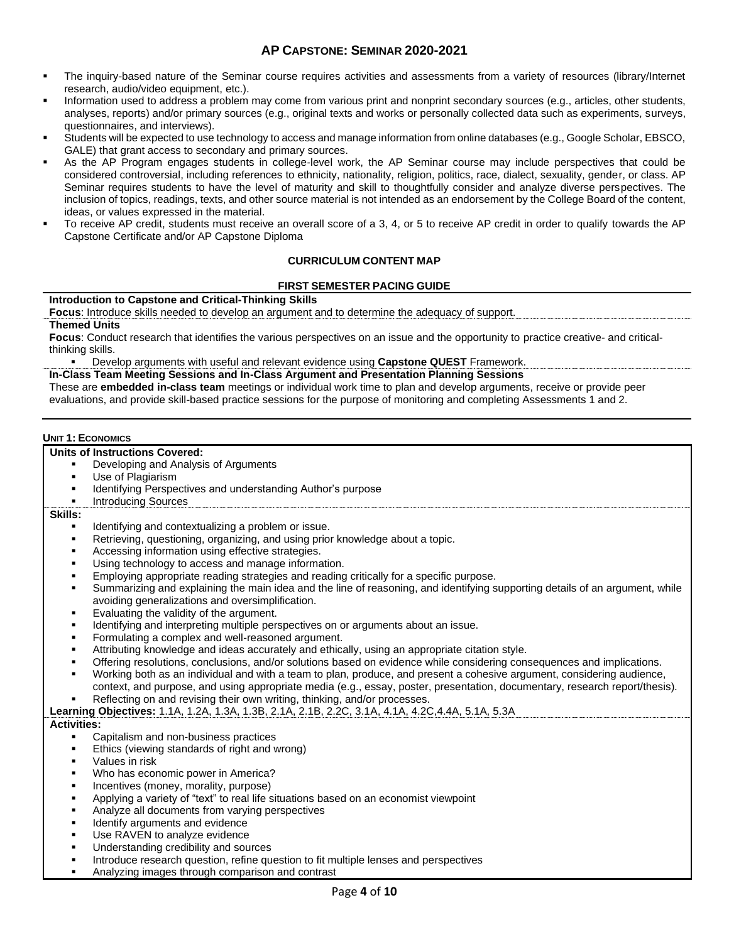- The inquiry-based nature of the Seminar course requires activities and assessments from a variety of resources (library/Internet research, audio/video equipment, etc.).
- Information used to address a problem may come from various print and nonprint secondary sources (e.g., articles, other students, analyses, reports) and/or primary sources (e.g., original texts and works or personally collected data such as experiments, surveys, questionnaires, and interviews).
- Students will be expected to use technology to access and manage information from online databases (e.g., Google Scholar, EBSCO, GALE) that grant access to secondary and primary sources.
- As the AP Program engages students in college-level work, the AP Seminar course may include perspectives that could be considered controversial, including references to ethnicity, nationality, religion, politics, race, dialect, sexuality, gender, or class. AP Seminar requires students to have the level of maturity and skill to thoughtfully consider and analyze diverse perspectives. The inclusion of topics, readings, texts, and other source material is not intended as an endorsement by the College Board of the content, ideas, or values expressed in the material.
- To receive AP credit, students must receive an overall score of a 3, 4, or 5 to receive AP credit in order to qualify towards the AP Capstone Certificate and/or AP Capstone Diploma

# **CURRICULUM CONTENT MAP**

#### **FIRST SEMESTER PACING GUIDE**

#### **Introduction to Capstone and Critical-Thinking Skills**

**Focus**: Introduce skills needed to develop an argument and to determine the adequacy of support.

# **Themed Units**

**Focus**: Conduct research that identifies the various perspectives on an issue and the opportunity to practice creative- and criticalthinking skills.

▪ Develop arguments with useful and relevant evidence using **Capstone QUEST** Framework.

**In-Class Team Meeting Sessions and In-Class Argument and Presentation Planning Sessions**

These are **embedded in-class team** meetings or individual work time to plan and develop arguments, receive or provide peer evaluations, and provide skill-based practice sessions for the purpose of monitoring and completing Assessments 1 and 2.

#### **UNIT 1: ECONOMICS**

#### **Units of Instructions Covered:**

- Developing and Analysis of Arguments
- Use of Plagiarism
- Identifying Perspectives and understanding Author's purpose
- **Introducing Sources**

#### **Skills:**

- Identifying and contextualizing a problem or issue.
- Retrieving, questioning, organizing, and using prior knowledge about a topic.
- Accessing information using effective strategies.
- Using technology to access and manage information.
- Employing appropriate reading strategies and reading critically for a specific purpose.
- Summarizing and explaining the main idea and the line of reasoning, and identifying supporting details of an argument, while avoiding generalizations and oversimplification.
- Evaluating the validity of the argument.
- Identifying and interpreting multiple perspectives on or arguments about an issue.
- Formulating a complex and well-reasoned argument.
- Attributing knowledge and ideas accurately and ethically, using an appropriate citation style.
- Offering resolutions, conclusions, and/or solutions based on evidence while considering consequences and implications.
- Working both as an individual and with a team to plan, produce, and present a cohesive argument, considering audience, context, and purpose, and using appropriate media (e.g., essay, poster, presentation, documentary, research report/thesis).
- Reflecting on and revising their own writing, thinking, and/or processes.
- **Learning Objectives:** 1.1A, 1.2A, 1.3A, 1.3B, 2.1A, 2.1B, 2.2C, 3.1A, 4.1A, 4.2C,4.4A, 5.1A, 5.3A

#### **Activities:**

- Capitalism and non-business practices
- Ethics (viewing standards of right and wrong)
- Values in risk
- Who has economic power in America?
- Incentives (money, morality, purpose)
- Applying a variety of "text" to real life situations based on an economist viewpoint
- Analyze all documents from varying perspectives
- Identify arguments and evidence
- Use RAVEN to analyze evidence
- Understanding credibility and sources
- **•** Introduce research question, refine question to fit multiple lenses and perspectives
- Analyzing images through comparison and contrast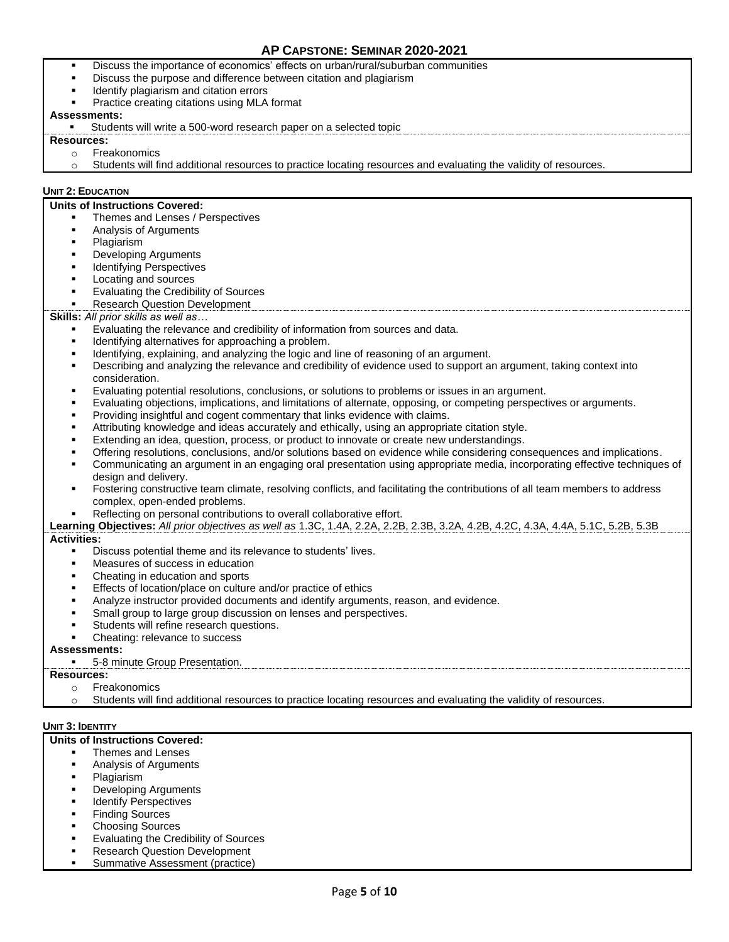- Discuss the importance of economics' effects on urban/rural/suburban communities
- Discuss the purpose and difference between citation and plagiarism
- Identify plagiarism and citation errors
- Practice creating citations using MLA format

#### **Assessments:**

Students will write a 500-word research paper on a selected topic

#### **Resources:**

- o Freakonomics
- o Students will find additional resources to practice locating resources and evaluating the validity of resources.

#### **UNIT 2: EDUCATION**

#### **Units of Instructions Covered:**

- Themes and Lenses / Perspectives
- Analysis of Arguments
- Plagiarism
- **Developing Arguments**
- **Identifying Perspectives**
- Locating and sources
- Evaluating the Credibility of Sources
- **Research Question Development**

#### **Skills:** *All prior skills as well as…*

- Evaluating the relevance and credibility of information from sources and data.
- Identifying alternatives for approaching a problem.
- Identifying, explaining, and analyzing the logic and line of reasoning of an argument.
- Describing and analyzing the relevance and credibility of evidence used to support an argument, taking context into consideration.
- Evaluating potential resolutions, conclusions, or solutions to problems or issues in an argument.
- Evaluating objections, implications, and limitations of alternate, opposing, or competing perspectives or arguments.
- Providing insightful and cogent commentary that links evidence with claims.
- Attributing knowledge and ideas accurately and ethically, using an appropriate citation style.
- Extending an idea, question, process, or product to innovate or create new understandings.
- Offering resolutions, conclusions, and/or solutions based on evidence while considering consequences and implications.
- Communicating an argument in an engaging oral presentation using appropriate media, incorporating effective techniques of design and delivery.
- Fostering constructive team climate, resolving conflicts, and facilitating the contributions of all team members to address complex, open-ended problems.
- Reflecting on personal contributions to overall collaborative effort.
- **Learning Objectives:** *All prior objectives as well as* 1.3C, 1.4A, 2.2A, 2.2B, 2.3B, 3.2A, 4.2B, 4.2C, 4.3A, 4.4A, 5.1C, 5.2B, 5.3B **Activities:**
	- Discuss potential theme and its relevance to students' lives.
	- Measures of success in education
	- Cheating in education and sports
	- Effects of location/place on culture and/or practice of ethics
	- Analyze instructor provided documents and identify arguments, reason, and evidence.
	- Small group to large group discussion on lenses and perspectives.
	- Students will refine research questions.
	- Cheating: relevance to success

#### **Assessments:**

5-8 minute Group Presentation.

### **Resources:**

- o Freakonomics
- Students will find additional resources to practice locating resources and evaluating the validity of resources.

#### **UNIT 3: IDENTITY**

#### **Units of Instructions Covered:**

- Themes and Lenses
- Analysis of Arguments
- Plagiarism
- **Developing Arguments**
- **Identify Perspectives**
- **Finding Sources**
- **Choosing Sources**
- **Evaluating the Credibility of Sources**
- **Research Question Development**
- Summative Assessment (practice)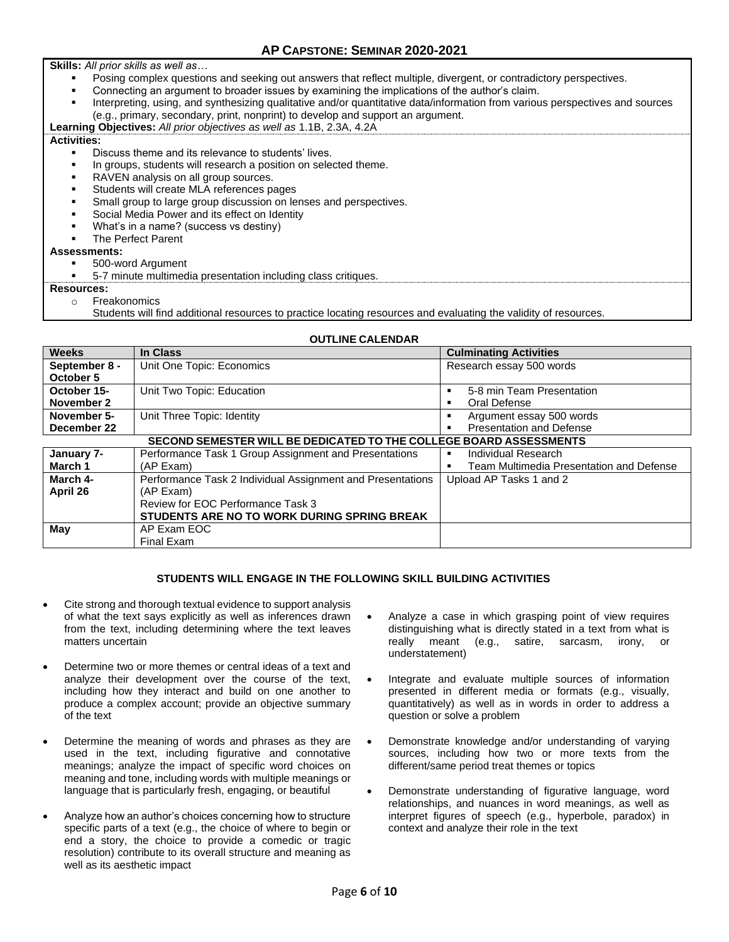**Skills:** *All prior skills as well as…*

- Posing complex questions and seeking out answers that reflect multiple, divergent, or contradictory perspectives.
- Connecting an argument to broader issues by examining the implications of the author's claim.
- Interpreting, using, and synthesizing qualitative and/or quantitative data/information from various perspectives and sources (e.g., primary, secondary, print, nonprint) to develop and support an argument.

**Learning Objectives:** *All prior objectives as well as* 1.1B, 2.3A, 4.2A **Activities:**

- - Discuss theme and its relevance to students' lives.
	- In groups, students will research a position on selected theme.
	- RAVEN analysis on all group sources.
	- Students will create MLA references pages
	- Small group to large group discussion on lenses and perspectives.
	- Social Media Power and its effect on Identity
	- What's in a name? (success vs destiny)

# The Perfect Parent

# **Assessments:**

500-word Argument

5-7 minute multimedia presentation including class critiques.

#### **Resources:**

o Freakonomics

Students will find additional resources to practice locating resources and evaluating the validity of resources.

# **OUTLINE CALENDAR**

| <b>Weeks</b>                                                       | In Class                                                   | <b>Culminating Activities</b>            |
|--------------------------------------------------------------------|------------------------------------------------------------|------------------------------------------|
| September 8 -                                                      | Unit One Topic: Economics                                  | Research essay 500 words                 |
| October 5                                                          |                                                            |                                          |
| October 15-                                                        | Unit Two Topic: Education                                  | 5-8 min Team Presentation                |
| November 2                                                         |                                                            | Oral Defense                             |
| November 5-                                                        | Unit Three Topic: Identity                                 | Argument essay 500 words                 |
| December 22                                                        |                                                            | <b>Presentation and Defense</b>          |
| SECOND SEMESTER WILL BE DEDICATED TO THE COLLEGE BOARD ASSESSMENTS |                                                            |                                          |
| January 7-                                                         | Performance Task 1 Group Assignment and Presentations      | Individual Research                      |
| March 1                                                            | (AP Exam)                                                  | Team Multimedia Presentation and Defense |
| March 4-                                                           | Performance Task 2 Individual Assignment and Presentations | Upload AP Tasks 1 and 2                  |
| April 26                                                           | (AP Exam)                                                  |                                          |
|                                                                    | Review for EOC Performance Task 3                          |                                          |
|                                                                    | STUDENTS ARE NO TO WORK DURING SPRING BREAK                |                                          |
| May                                                                | AP Exam EOC                                                |                                          |
|                                                                    | Final Exam                                                 |                                          |

# **STUDENTS WILL ENGAGE IN THE FOLLOWING SKILL BUILDING ACTIVITIES**

- Cite strong and thorough textual evidence to support analysis of what the text says explicitly as well as inferences drawn from the text, including determining where the text leaves matters uncertain
- Determine two or more themes or central ideas of a text and analyze their development over the course of the text, including how they interact and build on one another to produce a complex account; provide an objective summary of the text
- Determine the meaning of words and phrases as they are used in the text, including figurative and connotative meanings; analyze the impact of specific word choices on meaning and tone, including words with multiple meanings or language that is particularly fresh, engaging, or beautiful
- Analyze how an author's choices concerning how to structure specific parts of a text (e.g., the choice of where to begin or end a story, the choice to provide a comedic or tragic resolution) contribute to its overall structure and meaning as well as its aesthetic impact
- Analyze a case in which grasping point of view requires distinguishing what is directly stated in a text from what is really meant (e.g., satire, sarcasm, irony, understatement)
- Integrate and evaluate multiple sources of information presented in different media or formats (e.g., visually, quantitatively) as well as in words in order to address a question or solve a problem
- Demonstrate knowledge and/or understanding of varying sources, including how two or more texts from the different/same period treat themes or topics
- Demonstrate understanding of figurative language, word relationships, and nuances in word meanings, as well as interpret figures of speech (e.g., hyperbole, paradox) in context and analyze their role in the text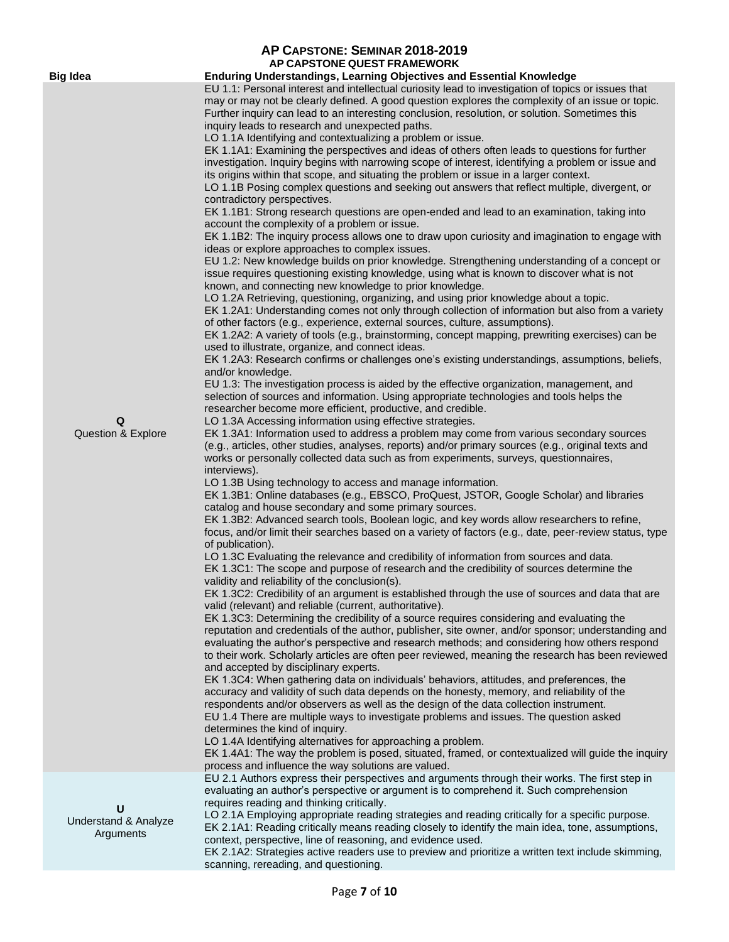|                                            | AP CAPSTONE: SEMINAR 2018-2019<br>AP CAPSTONE QUEST FRAMEWORK                                                                                                                                                                                                                                                                                                                                                                                                                                                                                                                                                                                                                                                                                                                                                                                                                                                                                                                                                                                                                                                                                                                                                                                                                                                                                                                                                                                                                                                                                                                                                                                                                                                                                                                                                                                                                                                                                                                                                                                                                                                                                                                                                                                                                                                                                                                                                                                                                                                                                                                                                                                                                                                                                                                                                                                                                                                                                                                                                                                                                                                                                                                                                                                                                                                                                                                                                                                                                                                                                                                                                                                                                                                                                                                                                                                                                                                                                                                                                                                                                                                                                                                                                                                                                                                                                                                                                                                                                                                                                                                                                                                |
|--------------------------------------------|----------------------------------------------------------------------------------------------------------------------------------------------------------------------------------------------------------------------------------------------------------------------------------------------------------------------------------------------------------------------------------------------------------------------------------------------------------------------------------------------------------------------------------------------------------------------------------------------------------------------------------------------------------------------------------------------------------------------------------------------------------------------------------------------------------------------------------------------------------------------------------------------------------------------------------------------------------------------------------------------------------------------------------------------------------------------------------------------------------------------------------------------------------------------------------------------------------------------------------------------------------------------------------------------------------------------------------------------------------------------------------------------------------------------------------------------------------------------------------------------------------------------------------------------------------------------------------------------------------------------------------------------------------------------------------------------------------------------------------------------------------------------------------------------------------------------------------------------------------------------------------------------------------------------------------------------------------------------------------------------------------------------------------------------------------------------------------------------------------------------------------------------------------------------------------------------------------------------------------------------------------------------------------------------------------------------------------------------------------------------------------------------------------------------------------------------------------------------------------------------------------------------------------------------------------------------------------------------------------------------------------------------------------------------------------------------------------------------------------------------------------------------------------------------------------------------------------------------------------------------------------------------------------------------------------------------------------------------------------------------------------------------------------------------------------------------------------------------------------------------------------------------------------------------------------------------------------------------------------------------------------------------------------------------------------------------------------------------------------------------------------------------------------------------------------------------------------------------------------------------------------------------------------------------------------------------------------------------------------------------------------------------------------------------------------------------------------------------------------------------------------------------------------------------------------------------------------------------------------------------------------------------------------------------------------------------------------------------------------------------------------------------------------------------------------------------------------------------------------------------------------------------------------------------------------------------------------------------------------------------------------------------------------------------------------------------------------------------------------------------------------------------------------------------------------------------------------------------------------------------------------------------------------------------------------------------------------------------------------------------------------------------|
|                                            |                                                                                                                                                                                                                                                                                                                                                                                                                                                                                                                                                                                                                                                                                                                                                                                                                                                                                                                                                                                                                                                                                                                                                                                                                                                                                                                                                                                                                                                                                                                                                                                                                                                                                                                                                                                                                                                                                                                                                                                                                                                                                                                                                                                                                                                                                                                                                                                                                                                                                                                                                                                                                                                                                                                                                                                                                                                                                                                                                                                                                                                                                                                                                                                                                                                                                                                                                                                                                                                                                                                                                                                                                                                                                                                                                                                                                                                                                                                                                                                                                                                                                                                                                                                                                                                                                                                                                                                                                                                                                                                                                                                                                                              |
| <b>Big Idea</b><br>Q<br>Question & Explore | Enduring Understandings, Learning Objectives and Essential Knowledge<br>EU 1.1: Personal interest and intellectual curiosity lead to investigation of topics or issues that<br>may or may not be clearly defined. A good question explores the complexity of an issue or topic.<br>Further inquiry can lead to an interesting conclusion, resolution, or solution. Sometimes this<br>inquiry leads to research and unexpected paths.<br>LO 1.1A Identifying and contextualizing a problem or issue.<br>EK 1.1A1: Examining the perspectives and ideas of others often leads to questions for further<br>investigation. Inquiry begins with narrowing scope of interest, identifying a problem or issue and<br>its origins within that scope, and situating the problem or issue in a larger context.<br>LO 1.1B Posing complex questions and seeking out answers that reflect multiple, divergent, or<br>contradictory perspectives.<br>EK 1.1B1: Strong research questions are open-ended and lead to an examination, taking into<br>account the complexity of a problem or issue.<br>EK 1.1B2: The inquiry process allows one to draw upon curiosity and imagination to engage with<br>ideas or explore approaches to complex issues.<br>EU 1.2: New knowledge builds on prior knowledge. Strengthening understanding of a concept or<br>issue requires questioning existing knowledge, using what is known to discover what is not<br>known, and connecting new knowledge to prior knowledge.<br>LO 1.2A Retrieving, questioning, organizing, and using prior knowledge about a topic.<br>EK 1.2A1: Understanding comes not only through collection of information but also from a variety<br>of other factors (e.g., experience, external sources, culture, assumptions).<br>EK 1.2A2: A variety of tools (e.g., brainstorming, concept mapping, prewriting exercises) can be<br>used to illustrate, organize, and connect ideas.<br>EK 1.2A3: Research confirms or challenges one's existing understandings, assumptions, beliefs,<br>and/or knowledge.<br>EU 1.3: The investigation process is aided by the effective organization, management, and<br>selection of sources and information. Using appropriate technologies and tools helps the<br>researcher become more efficient, productive, and credible.<br>LO 1.3A Accessing information using effective strategies.<br>EK 1.3A1: Information used to address a problem may come from various secondary sources<br>(e.g., articles, other studies, analyses, reports) and/or primary sources (e.g., original texts and<br>works or personally collected data such as from experiments, surveys, questionnaires,<br>interviews).<br>LO 1.3B Using technology to access and manage information.<br>EK 1.3B1: Online databases (e.g., EBSCO, ProQuest, JSTOR, Google Scholar) and libraries<br>catalog and house secondary and some primary sources.<br>EK 1.3B2: Advanced search tools, Boolean logic, and key words allow researchers to refine,<br>focus, and/or limit their searches based on a variety of factors (e.g., date, peer-review status, type<br>of publication).<br>LO 1.3C Evaluating the relevance and credibility of information from sources and data.<br>EK 1.3C1: The scope and purpose of research and the credibility of sources determine the<br>validity and reliability of the conclusion(s).<br>EK 1.3C2: Credibility of an argument is established through the use of sources and data that are<br>valid (relevant) and reliable (current, authoritative).<br>EK 1.3C3: Determining the credibility of a source requires considering and evaluating the<br>reputation and credentials of the author, publisher, site owner, and/or sponsor; understanding and<br>evaluating the author's perspective and research methods; and considering how others respond<br>to their work. Scholarly articles are often peer reviewed, meaning the research has been reviewed<br>and accepted by disciplinary experts.<br>EK 1.3C4: When gathering data on individuals' behaviors, attitudes, and preferences, the<br>accuracy and validity of such data depends on the honesty, memory, and reliability of the<br>respondents and/or observers as well as the design of the data collection instrument.<br>EU 1.4 There are multiple ways to investigate problems and issues. The question asked<br>determines the kind of inquiry.<br>LO 1.4A Identifying alternatives for approaching a problem.<br>EK 1.4A1: The way the problem is posed, situated, framed, or contextualized will guide the inquiry<br>process and influence the way solutions are valued. |
| U<br>Understand & Analyze<br>Arguments     | EU 2.1 Authors express their perspectives and arguments through their works. The first step in<br>evaluating an author's perspective or argument is to comprehend it. Such comprehension<br>requires reading and thinking critically.<br>LO 2.1A Employing appropriate reading strategies and reading critically for a specific purpose.<br>EK 2.1A1: Reading critically means reading closely to identify the main idea, tone, assumptions,<br>context, perspective, line of reasoning, and evidence used.<br>EK 2.1A2: Strategies active readers use to preview and prioritize a written text include skimming,                                                                                                                                                                                                                                                                                                                                                                                                                                                                                                                                                                                                                                                                                                                                                                                                                                                                                                                                                                                                                                                                                                                                                                                                                                                                                                                                                                                                                                                                                                                                                                                                                                                                                                                                                                                                                                                                                                                                                                                                                                                                                                                                                                                                                                                                                                                                                                                                                                                                                                                                                                                                                                                                                                                                                                                                                                                                                                                                                                                                                                                                                                                                                                                                                                                                                                                                                                                                                                                                                                                                                                                                                                                                                                                                                                                                                                                                                                                                                                                                                            |
|                                            | scanning, rereading, and questioning.                                                                                                                                                                                                                                                                                                                                                                                                                                                                                                                                                                                                                                                                                                                                                                                                                                                                                                                                                                                                                                                                                                                                                                                                                                                                                                                                                                                                                                                                                                                                                                                                                                                                                                                                                                                                                                                                                                                                                                                                                                                                                                                                                                                                                                                                                                                                                                                                                                                                                                                                                                                                                                                                                                                                                                                                                                                                                                                                                                                                                                                                                                                                                                                                                                                                                                                                                                                                                                                                                                                                                                                                                                                                                                                                                                                                                                                                                                                                                                                                                                                                                                                                                                                                                                                                                                                                                                                                                                                                                                                                                                                                        |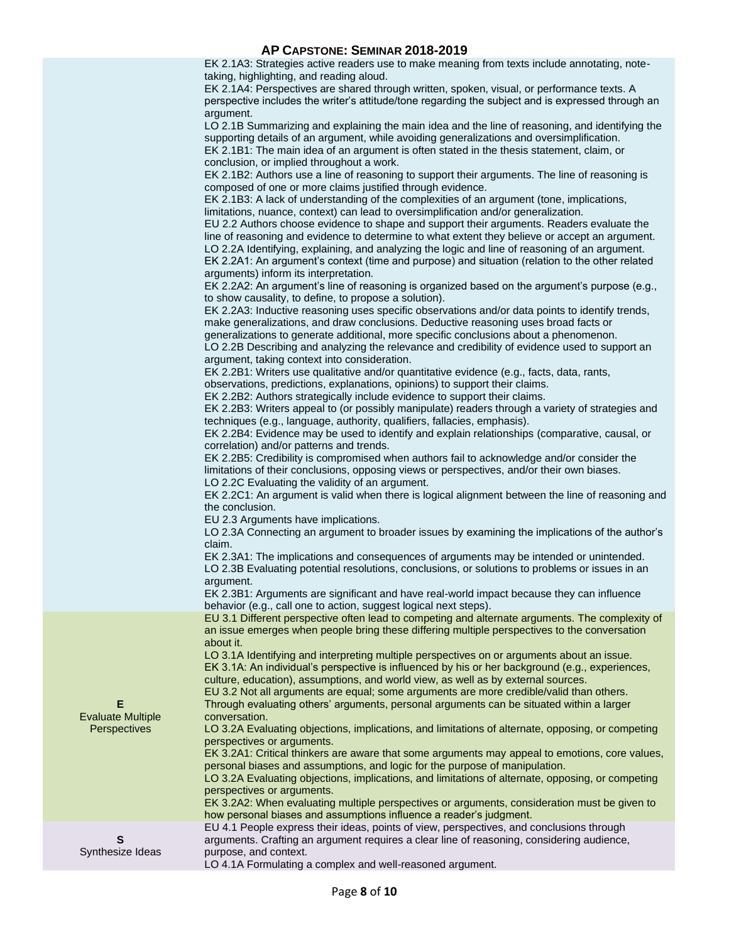# **AP CAPSTONE: SEMINAR 2018-2019**

EK 2.1A3: Strategies active readers use to make meaning from texts include annotating, notetaking, highlighting, and reading aloud.

EK 2.1A4: Perspectives are shared through written, spoken, visual, or performance texts. A perspective includes the writer's attitude/tone regarding the subject and is expressed through an argument.

LO 2.1B Summarizing and explaining the main idea and the line of reasoning, and identifying the supporting details of an argument, while avoiding generalizations and oversimplification. EK 2.1B1: The main idea of an argument is often stated in the thesis statement, claim, or conclusion, or implied throughout a work.

EK 2.1B2: Authors use a line of reasoning to support their arguments. The line of reasoning is composed of one or more claims justified through evidence.

EK 2.1B3: A lack of understanding of the complexities of an argument (tone, implications, limitations, nuance, context) can lead to oversimplification and/or generalization.

EU 2.2 Authors choose evidence to shape and support their arguments. Readers evaluate the line of reasoning and evidence to determine to what extent they believe or accept an argument. LO 2.2A Identifying, explaining, and analyzing the logic and line of reasoning of an argument. EK 2.2A1: An argument's context (time and purpose) and situation (relation to the other related

arguments) inform its interpretation. EK 2.2A2: An argument's line of reasoning is organized based on the argument's purpose (e.g.,

to show causality, to define, to propose a solution). EK 2.2A3: Inductive reasoning uses specific observations and/or data points to identify trends, make generalizations, and draw conclusions. Deductive reasoning uses broad facts or

generalizations to generate additional, more specific conclusions about a phenomenon.

LO 2.2B Describing and analyzing the relevance and credibility of evidence used to support an argument, taking context into consideration.

EK 2.2B1: Writers use qualitative and/or quantitative evidence (e.g., facts, data, rants, observations, predictions, explanations, opinions) to support their claims.

EK 2.2B2: Authors strategically include evidence to support their claims.

EK 2.2B3: Writers appeal to (or possibly manipulate) readers through a variety of strategies and techniques (e.g., language, authority, qualifiers, fallacies, emphasis).

EK 2.2B4: Evidence may be used to identify and explain relationships (comparative, causal, or correlation) and/or patterns and trends.

EK 2.2B5: Credibility is compromised when authors fail to acknowledge and/or consider the limitations of their conclusions, opposing views or perspectives, and/or their own biases. LO 2.2C Evaluating the validity of an argument.

EK 2.2C1: An argument is valid when there is logical alignment between the line of reasoning and the conclusion.

EU 2.3 Arguments have implications.

**E** Evaluate Multiple **Perspectives** 

**S** Synthesize Ideas LO 2.3A Connecting an argument to broader issues by examining the implications of the author's claim.

EK 2.3A1: The implications and consequences of arguments may be intended or unintended. LO 2.3B Evaluating potential resolutions, conclusions, or solutions to problems or issues in an argument.

EK 2.3B1: Arguments are significant and have real-world impact because they can influence behavior (e.g., call one to action, suggest logical next steps).

EU 3.1 Different perspective often lead to competing and alternate arguments. The complexity of an issue emerges when people bring these differing multiple perspectives to the conversation about it.

LO 3.1A Identifying and interpreting multiple perspectives on or arguments about an issue. EK 3.1A: An individual's perspective is influenced by his or her background (e.g., experiences, culture, education), assumptions, and world view, as well as by external sources.

EU 3.2 Not all arguments are equal; some arguments are more credible/valid than others. Through evaluating others' arguments, personal arguments can be situated within a larger conversation.

LO 3.2A Evaluating objections, implications, and limitations of alternate, opposing, or competing perspectives or arguments.

EK 3.2A1: Critical thinkers are aware that some arguments may appeal to emotions, core values, personal biases and assumptions, and logic for the purpose of manipulation.

LO 3.2A Evaluating objections, implications, and limitations of alternate, opposing, or competing perspectives or arguments.

EK 3.2A2: When evaluating multiple perspectives or arguments, consideration must be given to how personal biases and assumptions influence a reader's judgment.

EU 4.1 People express their ideas, points of view, perspectives, and conclusions through arguments. Crafting an argument requires a clear line of reasoning, considering audience, purpose, and context.

LO 4.1A Formulating a complex and well-reasoned argument.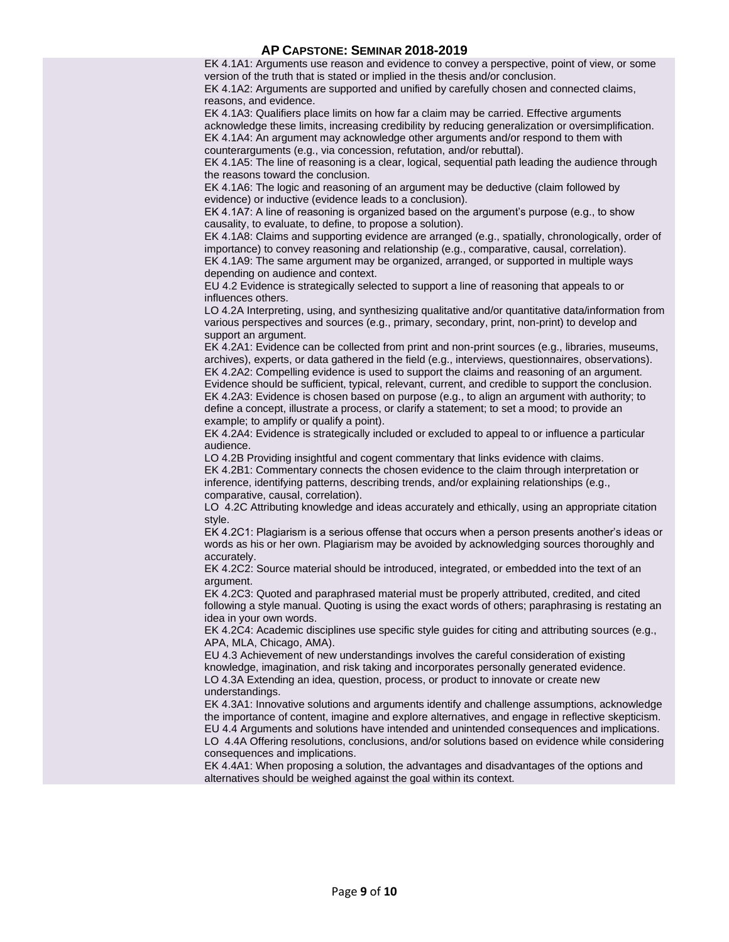### **AP CAPSTONE: SEMINAR 2018-2019**

EK 4.1A1: Arguments use reason and evidence to convey a perspective, point of view, or some version of the truth that is stated or implied in the thesis and/or conclusion.

EK 4.1A2: Arguments are supported and unified by carefully chosen and connected claims, reasons, and evidence.

EK 4.1A3: Qualifiers place limits on how far a claim may be carried. Effective arguments acknowledge these limits, increasing credibility by reducing generalization or oversimplification. EK 4.1A4: An argument may acknowledge other arguments and/or respond to them with counterarguments (e.g., via concession, refutation, and/or rebuttal).

EK 4.1A5: The line of reasoning is a clear, logical, sequential path leading the audience through the reasons toward the conclusion.

EK 4.1A6: The logic and reasoning of an argument may be deductive (claim followed by evidence) or inductive (evidence leads to a conclusion).

EK 4.1A7: A line of reasoning is organized based on the argument's purpose (e.g., to show causality, to evaluate, to define, to propose a solution).

EK 4.1A8: Claims and supporting evidence are arranged (e.g., spatially, chronologically, order of importance) to convey reasoning and relationship (e.g., comparative, causal, correlation). EK 4.1A9: The same argument may be organized, arranged, or supported in multiple ways depending on audience and context.

EU 4.2 Evidence is strategically selected to support a line of reasoning that appeals to or influences others.

LO 4.2A Interpreting, using, and synthesizing qualitative and/or quantitative data/information from various perspectives and sources (e.g., primary, secondary, print, non-print) to develop and support an argument.

EK 4.2A1: Evidence can be collected from print and non-print sources (e.g., libraries, museums, archives), experts, or data gathered in the field (e.g., interviews, questionnaires, observations). EK 4.2A2: Compelling evidence is used to support the claims and reasoning of an argument. Evidence should be sufficient, typical, relevant, current, and credible to support the conclusion. EK 4.2A3: Evidence is chosen based on purpose (e.g., to align an argument with authority; to define a concept, illustrate a process, or clarify a statement; to set a mood; to provide an example; to amplify or qualify a point).

EK 4.2A4: Evidence is strategically included or excluded to appeal to or influence a particular audience.

LO 4.2B Providing insightful and cogent commentary that links evidence with claims. EK 4.2B1: Commentary connects the chosen evidence to the claim through interpretation or inference, identifying patterns, describing trends, and/or explaining relationships (e.g., comparative, causal, correlation).

LO 4.2C Attributing knowledge and ideas accurately and ethically, using an appropriate citation style.

EK 4.2C1: Plagiarism is a serious offense that occurs when a person presents another's ideas or words as his or her own. Plagiarism may be avoided by acknowledging sources thoroughly and accurately.

EK 4.2C2: Source material should be introduced, integrated, or embedded into the text of an argument.

EK 4.2C3: Quoted and paraphrased material must be properly attributed, credited, and cited following a style manual. Quoting is using the exact words of others; paraphrasing is restating an idea in your own words.

EK 4.2C4: Academic disciplines use specific style guides for citing and attributing sources (e.g., APA, MLA, Chicago, AMA).

EU 4.3 Achievement of new understandings involves the careful consideration of existing knowledge, imagination, and risk taking and incorporates personally generated evidence. LO 4.3A Extending an idea, question, process, or product to innovate or create new understandings.

EK 4.3A1: Innovative solutions and arguments identify and challenge assumptions, acknowledge the importance of content, imagine and explore alternatives, and engage in reflective skepticism. EU 4.4 Arguments and solutions have intended and unintended consequences and implications.

LO 4.4A Offering resolutions, conclusions, and/or solutions based on evidence while considering consequences and implications.

EK 4.4A1: When proposing a solution, the advantages and disadvantages of the options and alternatives should be weighed against the goal within its context.